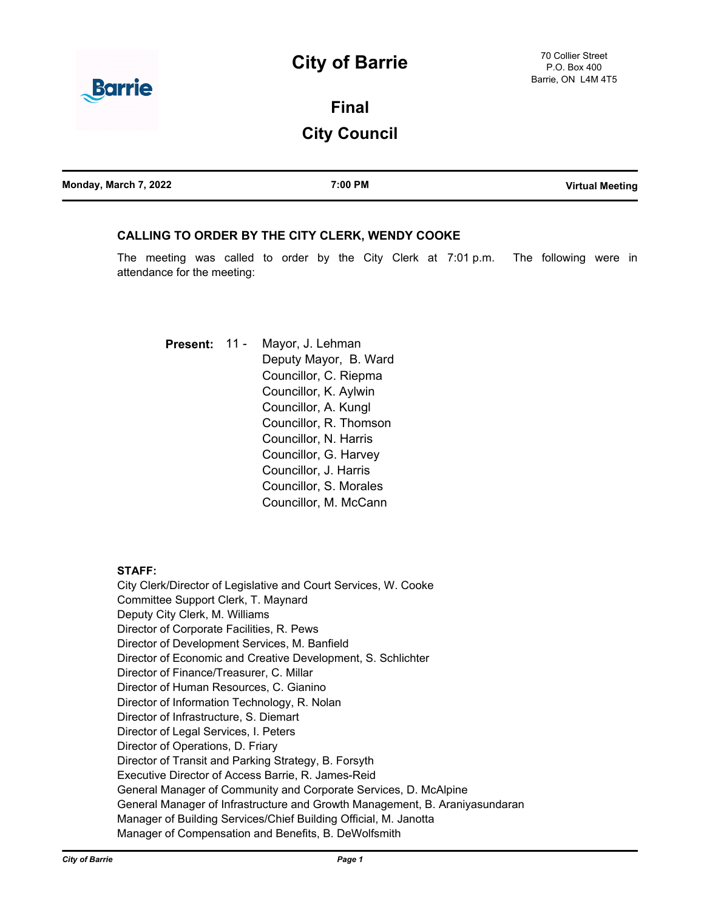# **City of Barrie**



**Final City Council**

| Monday, March 7, 2022 | 7:00 PM | <b>Virtual Meeting</b> |
|-----------------------|---------|------------------------|
|                       |         |                        |

# **CALLING TO ORDER BY THE CITY CLERK, WENDY COOKE**

The meeting was called to order by the City Clerk at 7:01 p.m. The following were in attendance for the meeting:

Mayor, J. Lehman Deputy Mayor, B. Ward Councillor, C. Riepma Councillor, K. Aylwin Councillor, A. Kungl Councillor, R. Thomson Councillor, N. Harris Councillor, G. Harvey Councillor, J. Harris Councillor, S. Morales Councillor, M. McCann **Present:** 11 -

# **STAFF:**

City Clerk/Director of Legislative and Court Services, W. Cooke Committee Support Clerk, T. Maynard Deputy City Clerk, M. Williams Director of Corporate Facilities, R. Pews Director of Development Services, M. Banfield Director of Economic and Creative Development, S. Schlichter Director of Finance/Treasurer, C. Millar Director of Human Resources, C. Gianino Director of Information Technology, R. Nolan Director of Infrastructure, S. Diemart Director of Legal Services, I. Peters Director of Operations, D. Friary Director of Transit and Parking Strategy, B. Forsyth Executive Director of Access Barrie, R. James-Reid General Manager of Community and Corporate Services, D. McAlpine General Manager of Infrastructure and Growth Management, B. Araniyasundaran Manager of Building Services/Chief Building Official, M. Janotta Manager of Compensation and Benefits, B. DeWolfsmith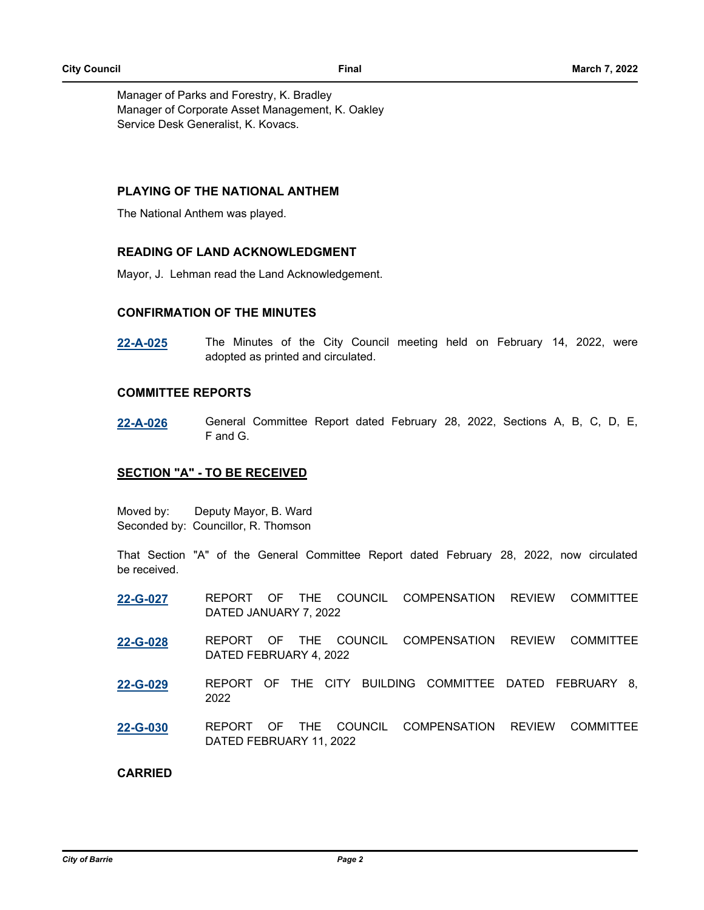Manager of Parks and Forestry, K. Bradley Manager of Corporate Asset Management, K. Oakley Service Desk Generalist, K. Kovacs.

# **PLAYING OF THE NATIONAL ANTHEM**

The National Anthem was played.

# **READING OF LAND ACKNOWLEDGMENT**

Mayor, J. Lehman read the Land Acknowledgement.

### **CONFIRMATION OF THE MINUTES**

**[22-A-025](http://barrie.ca.legistar.com/gateway.aspx?m=l&id=/matter.aspx?key=50236)** The Minutes of the City Council meeting held on February 14, 2022, were adopted as printed and circulated.

# **COMMITTEE REPORTS**

**[22-A-026](http://barrie.ca.legistar.com/gateway.aspx?m=l&id=/matter.aspx?key=50237)** General Committee Report dated February 28, 2022, Sections A, B, C, D, E, F and G.

# **SECTION "A" - TO BE RECEIVED**

Moved by: Deputy Mayor, B. Ward Seconded by: Councillor, R. Thomson

That Section "A" of the General Committee Report dated February 28, 2022, now circulated be received.

- **[22-G-027](http://barrie.ca.legistar.com/gateway.aspx?m=l&id=/matter.aspx?key=50224)** REPORT OF THE COUNCIL COMPENSATION REVIEW COMMITTEE DATED JANUARY 7, 2022
- **[22-G-028](http://barrie.ca.legistar.com/gateway.aspx?m=l&id=/matter.aspx?key=50225)** REPORT OF THE COUNCIL COMPENSATION REVIEW COMMITTEE DATED FEBRUARY 4, 2022
- **[22-G-029](http://barrie.ca.legistar.com/gateway.aspx?m=l&id=/matter.aspx?key=50207)** REPORT OF THE CITY BUILDING COMMITTEE DATED FEBRUARY 8, 2022
- **[22-G-030](http://barrie.ca.legistar.com/gateway.aspx?m=l&id=/matter.aspx?key=50226)** REPORT OF THE COUNCIL COMPENSATION REVIEW COMMITTEE DATED FEBRUARY 11, 2022

### **CARRIED**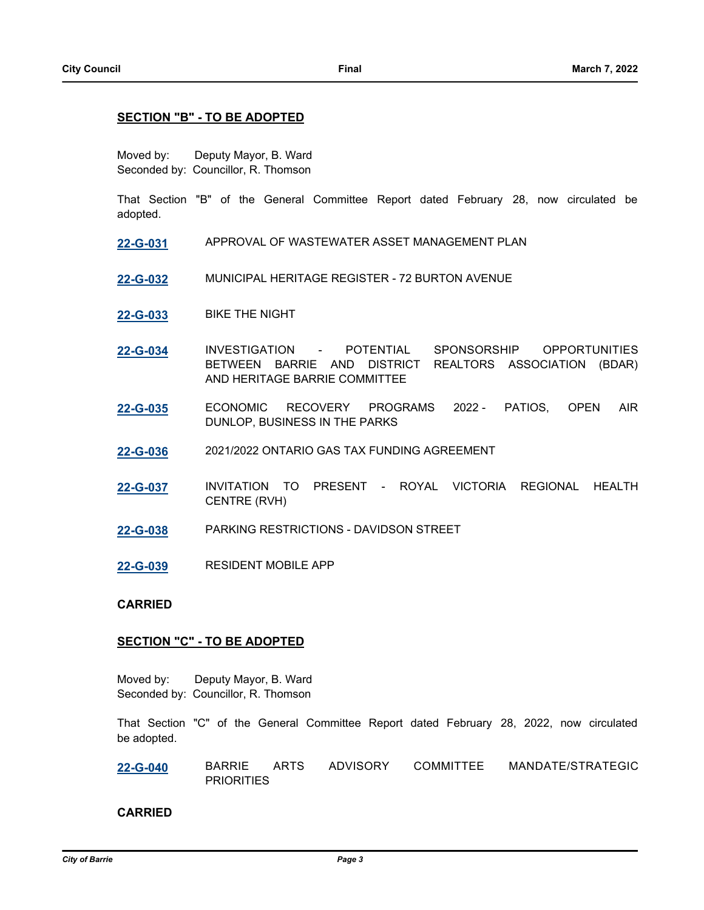# **SECTION "B" - TO BE ADOPTED**

Moved by: Deputy Mayor, B. Ward Seconded by: Councillor, R. Thomson

That Section "B" of the General Committee Report dated February 28, now circulated be adopted.

- **[22-G-031](http://barrie.ca.legistar.com/gateway.aspx?m=l&id=/matter.aspx?key=50043)** APPROVAL OF WASTEWATER ASSET MANAGEMENT PLAN
- **[22-G-032](http://barrie.ca.legistar.com/gateway.aspx?m=l&id=/matter.aspx?key=49894)** MUNICIPAL HERITAGE REGISTER 72 BURTON AVENUE
- **[22-G-033](http://barrie.ca.legistar.com/gateway.aspx?m=l&id=/matter.aspx?key=50127)** BIKE THE NIGHT
- **[22-G-034](http://barrie.ca.legistar.com/gateway.aspx?m=l&id=/matter.aspx?key=50052)** INVESTIGATION POTENTIAL SPONSORSHIP OPPORTUNITIES BETWEEN BARRIE AND DISTRICT REALTORS ASSOCIATION (BDAR) AND HERITAGE BARRIE COMMITTEE
- **[22-G-035](http://barrie.ca.legistar.com/gateway.aspx?m=l&id=/matter.aspx?key=50164)** ECONOMIC RECOVERY PROGRAMS 2022 PATIOS, OPEN AIR DUNLOP, BUSINESS IN THE PARKS
- **[22-G-036](http://barrie.ca.legistar.com/gateway.aspx?m=l&id=/matter.aspx?key=50088)** 2021/2022 ONTARIO GAS TAX FUNDING AGREEMENT
- **[22-G-037](http://barrie.ca.legistar.com/gateway.aspx?m=l&id=/matter.aspx?key=50203)** INVITATION TO PRESENT ROYAL VICTORIA REGIONAL HEALTH CENTRE (RVH)
- **[22-G-038](http://barrie.ca.legistar.com/gateway.aspx?m=l&id=/matter.aspx?key=50204)** PARKING RESTRICTIONS DAVIDSON STREET
- **[22-G-039](http://barrie.ca.legistar.com/gateway.aspx?m=l&id=/matter.aspx?key=50219)** RESIDENT MOBILE APP

# **CARRIED**

# **SECTION "C" - TO BE ADOPTED**

Moved by: Deputy Mayor, B. Ward Seconded by: Councillor, R. Thomson

That Section "C" of the General Committee Report dated February 28, 2022, now circulated be adopted.

**[22-G-040](http://barrie.ca.legistar.com/gateway.aspx?m=l&id=/matter.aspx?key=49908)** BARRIE ARTS ADVISORY COMMITTEE MANDATE/STRATEGIC **PRIORITIES** 

# **CARRIED**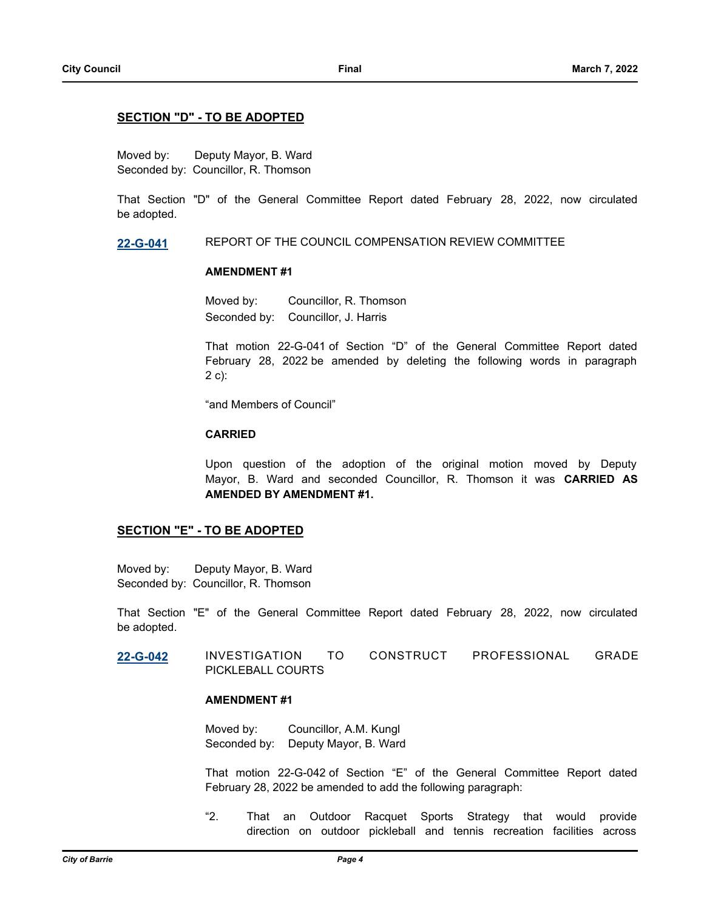# **SECTION "D" - TO BE ADOPTED**

Moved by: Deputy Mayor, B. Ward Seconded by: Councillor, R. Thomson

That Section "D" of the General Committee Report dated February 28, 2022, now circulated be adopted.

**[22-G-041](http://barrie.ca.legistar.com/gateway.aspx?m=l&id=/matter.aspx?key=50228)** REPORT OF THE COUNCIL COMPENSATION REVIEW COMMITTEE

# **AMENDMENT #1**

Moved by: Councillor, R. Thomson Seconded by: Councillor, J. Harris

That motion 22-G-041 of Section "D" of the General Committee Report dated February 28, 2022 be amended by deleting the following words in paragraph 2 c):

"and Members of Council"

### **CARRIED**

Upon question of the adoption of the original motion moved by Deputy Mayor, B. Ward and seconded Councillor, R. Thomson it was **CARRIED AS AMENDED BY AMENDMENT #1.**

# **SECTION "E" - TO BE ADOPTED**

Moved by: Deputy Mayor, B. Ward Seconded by: Councillor, R. Thomson

That Section "E" of the General Committee Report dated February 28, 2022, now circulated be adopted.

**[22-G-042](http://barrie.ca.legistar.com/gateway.aspx?m=l&id=/matter.aspx?key=50142)** INVESTIGATION TO CONSTRUCT PROFESSIONAL GRADE PICKLEBALL COURTS

# **AMENDMENT #1**

Moved by: Councillor, A.M. Kungl Seconded by: Deputy Mayor, B. Ward

That motion 22-G-042 of Section "E" of the General Committee Report dated February 28, 2022 be amended to add the following paragraph:

"2. That an Outdoor Racquet Sports Strategy that would provide direction on outdoor pickleball and tennis recreation facilities across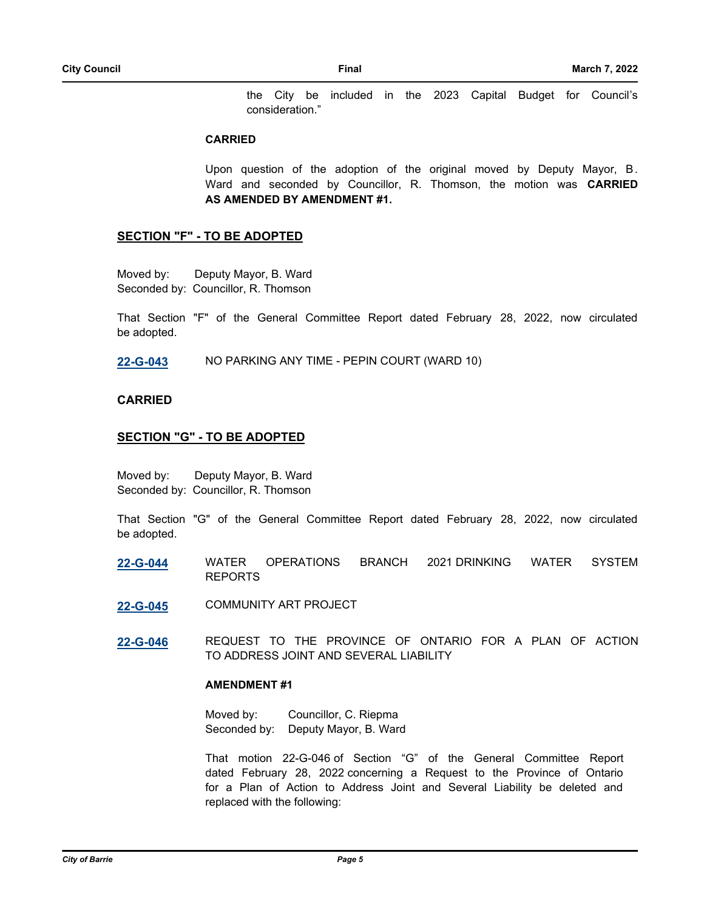the City be included in the 2023 Capital Budget for Council's consideration."

### **CARRIED**

Upon question of the adoption of the original moved by Deputy Mayor, B. Ward and seconded by Councillor, R. Thomson, the motion was **CARRIED AS AMENDED BY AMENDMENT #1.**

# **SECTION "F" - TO BE ADOPTED**

Moved by: Deputy Mayor, B. Ward Seconded by: Councillor, R. Thomson

That Section "F" of the General Committee Report dated February 28, 2022, now circulated be adopted.

**[22-G-043](http://barrie.ca.legistar.com/gateway.aspx?m=l&id=/matter.aspx?key=50066)** NO PARKING ANY TIME - PEPIN COURT (WARD 10)

### **CARRIED**

# **SECTION "G" - TO BE ADOPTED**

Moved by: Deputy Mayor, B. Ward Seconded by: Councillor, R. Thomson

That Section "G" of the General Committee Report dated February 28, 2022, now circulated be adopted.

- **[22-G-044](http://barrie.ca.legistar.com/gateway.aspx?m=l&id=/matter.aspx?key=50159)** WATER OPERATIONS BRANCH 2021 DRINKING WATER SYSTEM REPORTS
- **[22-G-045](http://barrie.ca.legistar.com/gateway.aspx?m=l&id=/matter.aspx?key=50206)** COMMUNITY ART PROJECT
- **[22-G-046](http://barrie.ca.legistar.com/gateway.aspx?m=l&id=/matter.aspx?key=50241)** REQUEST TO THE PROVINCE OF ONTARIO FOR A PLAN OF ACTION TO ADDRESS JOINT AND SEVERAL LIABILITY

# **AMENDMENT #1**

Moved by: Councillor, C. Riepma Seconded by: Deputy Mayor, B. Ward

That motion 22-G-046 of Section "G" of the General Committee Report dated February 28, 2022 concerning a Request to the Province of Ontario for a Plan of Action to Address Joint and Several Liability be deleted and replaced with the following: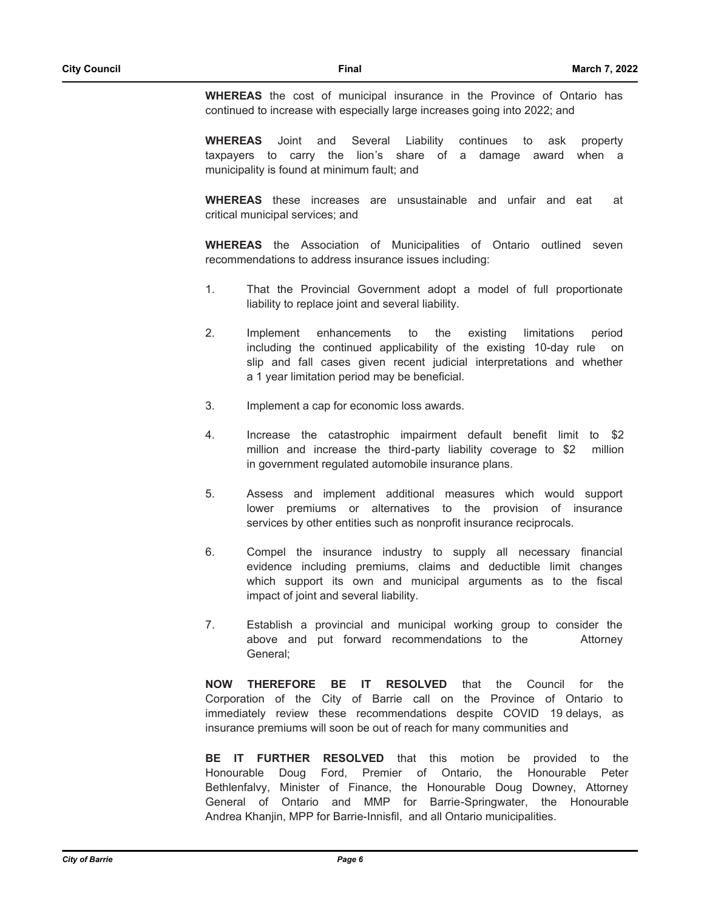**WHEREAS** the cost of municipal insurance in the Province of Ontario has continued to increase with especially large increases going into 2022; and

**WHEREAS** Joint and Several Liability continues to ask property taxpayers to carry the lion's share of a damage award when a municipality is found at minimum fault; and

**WHEREAS** these increases are unsustainable and unfair and eat at critical municipal services; and

**WHEREAS** the Association of Municipalities of Ontario outlined seven recommendations to address insurance issues including:

- 1. That the Provincial Government adopt a model of full proportionate liability to replace joint and several liability.
- 2. Implement enhancements to the existing limitations period including the continued applicability of the existing 10-day rule on slip and fall cases given recent judicial interpretations and whether a 1 year limitation period may be beneficial.
- 3. Implement a cap for economic loss awards.
- 4. Increase the catastrophic impairment default benefit limit to \$2 million and increase the third-party liability coverage to \$2 million in government regulated automobile insurance plans.
- 5. Assess and implement additional measures which would support lower premiums or alternatives to the provision of insurance services by other entities such as nonprofit insurance reciprocals.
- 6. Compel the insurance industry to supply all necessary financial evidence including premiums, claims and deductible limit changes which support its own and municipal arguments as to the fiscal impact of joint and several liability.
- 7. Establish a provincial and municipal working group to consider the above and put forward recommendations to the Attorney General;

**NOW THEREFORE BE IT RESOLVED** that the Council for the Corporation of the City of Barrie call on the Province of Ontario to immediately review these recommendations despite COVID 19 delays, as insurance premiums will soon be out of reach for many communities and

**BE IT FURTHER RESOLVED** that this motion be provided to the Honourable Doug Ford, Premier of Ontario, the Honourable Peter Bethlenfalvy, Minister of Finance, the Honourable Doug Downey, Attorney General of Ontario and MMP for Barrie-Springwater, the Honourable Andrea Khanjin, MPP for Barrie-Innisfil, and all Ontario municipalities.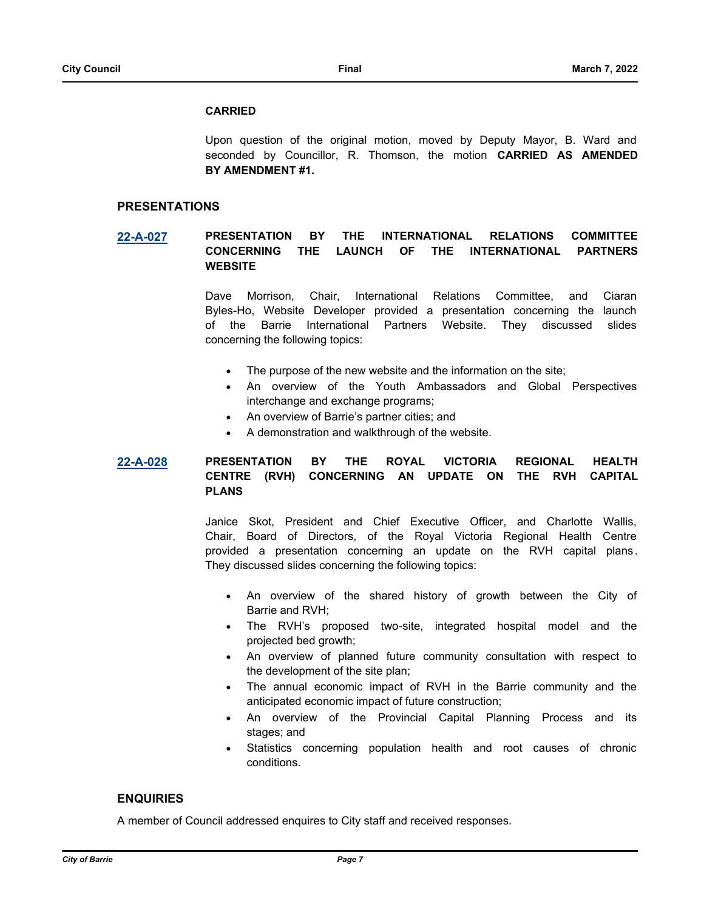#### **CARRIED**

Upon question of the original motion, moved by Deputy Mayor, B. Ward and seconded by Councillor, R. Thomson, the motion **CARRIED AS AMENDED BY AMENDMENT #1.**

### **PRESENTATIONS**

**[22-A-027](http://barrie.ca.legistar.com/gateway.aspx?m=l&id=/matter.aspx?key=50266) PRESENTATION BY THE INTERNATIONAL RELATIONS COMMITTEE CONCERNING THE LAUNCH OF THE INTERNATIONAL PARTNERS WEBSITE**

> Dave Morrison, Chair, International Relations Committee, and Ciaran Byles-Ho, Website Developer provided a presentation concerning the launch of the Barrie International Partners Website. They discussed slides concerning the following topics:

- The purpose of the new website and the information on the site;
- An overview of the Youth Ambassadors and Global Perspectives interchange and exchange programs;
- An overview of Barrie's partner cities; and
- A demonstration and walkthrough of the website.

# **[22-A-028](http://barrie.ca.legistar.com/gateway.aspx?m=l&id=/matter.aspx?key=50268) PRESENTATION BY THE ROYAL VICTORIA REGIONAL HEALTH CENTRE (RVH) CONCERNING AN UPDATE ON THE RVH CAPITAL PLANS**

Janice Skot, President and Chief Executive Officer, and Charlotte Wallis, Chair, Board of Directors, of the Royal Victoria Regional Health Centre provided a presentation concerning an update on the RVH capital plans . They discussed slides concerning the following topics:

- An overview of the shared history of growth between the City of Barrie and RVH;
- The RVH's proposed two-site, integrated hospital model and the projected bed growth;
- An overview of planned future community consultation with respect to the development of the site plan;
- The annual economic impact of RVH in the Barrie community and the anticipated economic impact of future construction;
- An overview of the Provincial Capital Planning Process and its stages; and
- Statistics concerning population health and root causes of chronic conditions.

# **ENQUIRIES**

A member of Council addressed enquires to City staff and received responses.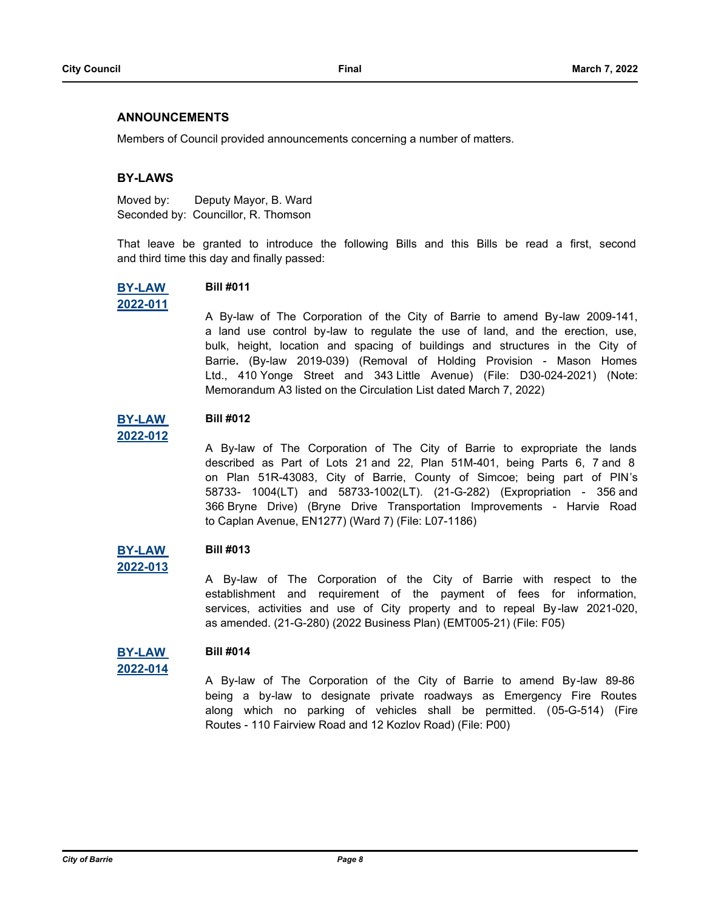# **ANNOUNCEMENTS**

Members of Council provided announcements concerning a number of matters.

# **BY-LAWS**

Moved by: Deputy Mayor, B. Ward Seconded by: Councillor, R. Thomson

That leave be granted to introduce the following Bills and this Bills be read a first, second and third time this day and finally passed:



# **2022-011 Bill #011**

A By-law of The Corporation of the City of Barrie to amend By-law 2009-141, a land use control by-law to regulate the use of land, and the erection, use, bulk, height, location and spacing of buildings and structures in the City of Barrie**.** (By-law 2019-039) (Removal of Holding Provision - Mason Homes Ltd., 410 Yonge Street and 343 Little Avenue) (File: D30-024-2021) (Note: Memorandum A3 listed on the Circulation List dated March 7, 2022)

#### **[BY-LAW](http://barrie.ca.legistar.com/gateway.aspx?m=l&id=/matter.aspx?key=50200)  Bill #012**

A By-law of The Corporation of The City of Barrie to expropriate the lands described as Part of Lots 21 and 22, Plan 51M-401, being Parts 6, 7 and 8 on Plan 51R-43083, City of Barrie, County of Simcoe; being part of PIN's 58733- 1004(LT) and 58733-1002(LT). (21-G-282) (Expropriation - 356 and 366 Bryne Drive) (Bryne Drive Transportation Improvements - Harvie Road to Caplan Avenue, EN1277) (Ward 7) (File: L07-1186)

#### **[BY-LAW](http://barrie.ca.legistar.com/gateway.aspx?m=l&id=/matter.aspx?key=50243)  Bill #013**

**2022-013**

**2022-012**

A By-law of The Corporation of the City of Barrie with respect to the establishment and requirement of the payment of fees for information, services, activities and use of City property and to repeal By-law 2021-020, as amended. (21-G-280) (2022 Business Plan) (EMT005-21) (File: F05)

#### **[BY-LAW](http://barrie.ca.legistar.com/gateway.aspx?m=l&id=/matter.aspx?key=50257)  Bill #014**

```
2022-014
```
A By-law of The Corporation of the City of Barrie to amend By-law 89-86 being a by-law to designate private roadways as Emergency Fire Routes along which no parking of vehicles shall be permitted. (05-G-514) (Fire Routes - 110 Fairview Road and 12 Kozlov Road) (File: P00)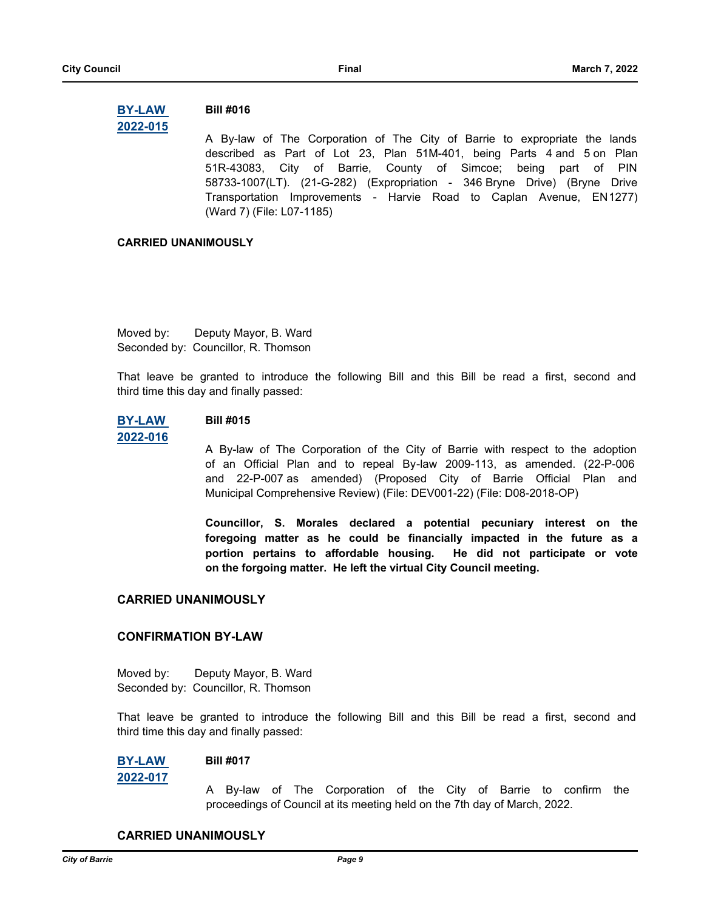#### **[BY-LAW](http://barrie.ca.legistar.com/gateway.aspx?m=l&id=/matter.aspx?key=50199)  2022-015 Bill #016**

A By-law of The Corporation of The City of Barrie to expropriate the lands described as Part of Lot 23, Plan 51M-401, being Parts 4 and 5 on Plan 51R-43083, City of Barrie, County of Simcoe; being part of PIN 58733-1007(LT). (21-G-282) (Expropriation - 346 Bryne Drive) (Bryne Drive Transportation Improvements - Harvie Road to Caplan Avenue, EN1277) (Ward 7) (File: L07-1185)

# **CARRIED UNANIMOUSLY**

Moved by: Deputy Mayor, B. Ward Seconded by: Councillor, R. Thomson

That leave be granted to introduce the following Bill and this Bill be read a first, second and third time this day and finally passed:

#### **[BY-LAW](http://barrie.ca.legistar.com/gateway.aspx?m=l&id=/matter.aspx?key=50259)  Bill #015**

# **2022-016**

A By-law of The Corporation of the City of Barrie with respect to the adoption of an Official Plan and to repeal By-law 2009-113, as amended. (22-P-006 and 22-P-007 as amended) (Proposed City of Barrie Official Plan and Municipal Comprehensive Review) (File: DEV001-22) (File: D08-2018-OP)

**Councillor, S. Morales declared a potential pecuniary interest on the foregoing matter as he could be financially impacted in the future as a portion pertains to affordable housing. He did not participate or vote on the forgoing matter. He left the virtual City Council meeting.**

# **CARRIED UNANIMOUSLY**

# **CONFIRMATION BY-LAW**

Moved by: Deputy Mayor, B. Ward Seconded by: Councillor, R. Thomson

That leave be granted to introduce the following Bill and this Bill be read a first, second and third time this day and finally passed:

#### **[BY-LAW](http://barrie.ca.legistar.com/gateway.aspx?m=l&id=/matter.aspx?key=50275)  Bill #017**

**2022-017**

A By-law of The Corporation of the City of Barrie to confirm the proceedings of Council at its meeting held on the 7th day of March, 2022.

### **CARRIED UNANIMOUSLY**